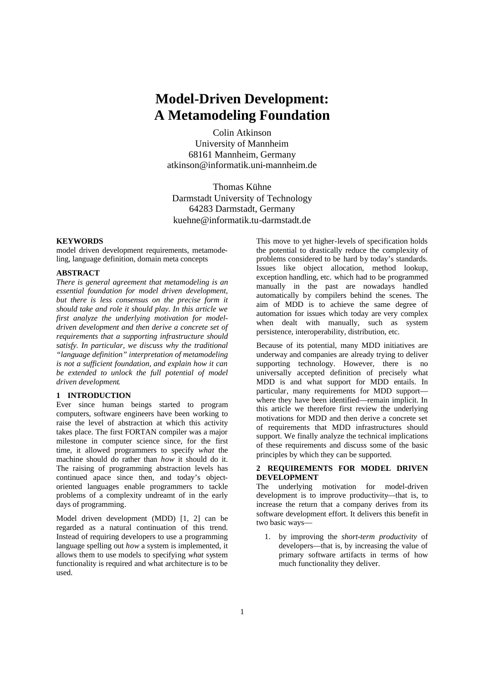# **Model-Driven Development: A Metamodeling Foundation**

Colin Atkinson University of Mannheim 68161 Mannheim, Germany atkinson@informatik.uni-mannheim.de

Thomas Kühne Darmstadt University of Technology 64283 Darmstadt, Germany kuehne@informatik.tu-darmstadt.de

#### **KEYWORDS**

model driven development requirements, metamodeling, language definition, domain meta concepts

### **ABSTRACT**

*There is general agreement that metamodeling is an essential foundation for model driven development, but there is less consensus on the precise form it should take and role it should play. In this article we first analyze the underlying motivation for modeldriven development and then derive a concrete set of requirements that a supporting infrastructure should satisfy. In particular, we discuss why the traditional "language definition" interpretation of metamodeling is not a sufficient foundation, and explain how it can be extended to unlock the full potential of model driven development.*

## **1 INTRODUCTION**

Ever since human beings started to program computers, software engineers have been working to raise the level of abstraction at which this activity takes place. The first FORTAN compiler was a major milestone in computer science since, for the first time, it allowed programmers to specify *what* the machine should do rather than *how* it should do it. The raising of programming abstraction levels has continued apace since then, and today's objectoriented languages enable programmers to tackle problems of a complexity undreamt of in the early days of programming.

Model driven development (MDD) [1, 2] can be regarded as a natural continuation of this trend. Instead of requiring developers to use a programming language spelling out *how* a system is implemented, it allows them to use models to specifying *what* system functionality is required and what architecture is to be used.

This move to yet higher-levels of specification holds the potential to drastically reduce the complexity of problems considered to be hard by today's standards. Issues like object allocation, method lookup, exception handling, etc. which had to be programmed manually in the past are nowadays handled automatically by compilers behind the scenes. The aim of MDD is to achieve the same degree of automation for issues which today are very complex when dealt with manually, such as system persistence, interoperability, distribution, etc.

Because of its potential, many MDD initiatives are underway and companies are already trying to deliver supporting technology. However, there is no universally accepted definition of precisely what MDD is and what support for MDD entails. In particular, many requirements for MDD support where they have been identified—remain implicit. In this article we therefore first review the underlying motivations for MDD and then derive a concrete set of requirements that MDD infrastructures should support. We finally analyze the technical implications of these requirements and discuss some of the basic principles by which they can be supported.

# **2 REQUIREMENTS FOR MODEL DRIVEN DEVELOPMENT**

The underlying motivation for model-driven development is to improve productivity—that is, to increase the return that a company derives from its software development effort. It delivers this benefit in two basic ways—

1. by improving the *short-term productivity* of developers—that is, by increasing the value of primary software artifacts in terms of how much functionality they deliver.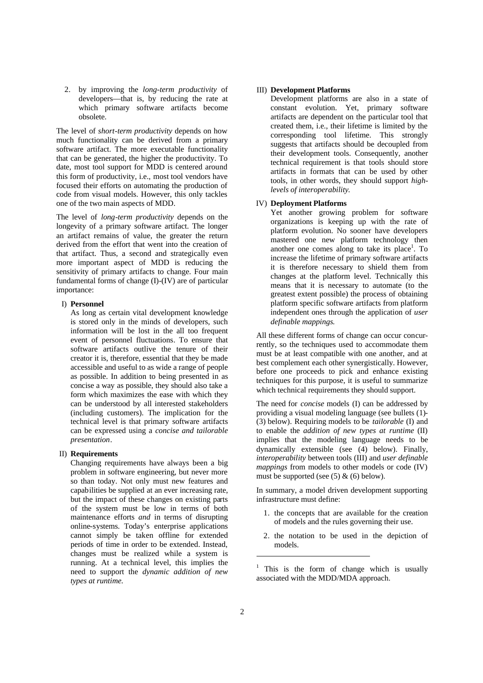2. by improving the *long-term productivity* of developers—that is, by reducing the rate at which primary software artifacts become obsolete.

The level of *short-term productivity* depends on how much functionality can be derived from a primary software artifact. The more executable functionality that can be generated, the higher the productivity. To date, most tool support for MDD is centered around this form of productivity, i.e., most tool vendors have focused their efforts on automating the production of code from visual models. However, this only tackles one of the two main aspects of MDD.

The level of *long-term productivity* depends on the longevity of a primary software artifact. The longer an artifact remains of value, the greater the return derived from the effort that went into the creation of that artifact. Thus, a second and strategically even more important aspect of MDD is reducing the sensitivity of primary artifacts to change. Four main fundamental forms of change (I)-(IV) are of particular importance:

#### I) **Personnel**

As long as certain vital development knowledge is stored only in the minds of developers, such information will be lost in the all too frequent event of personnel fluctuations. To ensure that software artifacts outlive the tenure of their creator it is, therefore, essential that they be made accessible and useful to as wide a range of people as possible. In addition to being presented in as concise a way as possible, they should also take a form which maximizes the ease with which they can be understood by all interested stakeholders (including customers). The implication for the technical level is that primary software artifacts can be expressed using a *concise and tailorable presentation*.

## II) **Requirements**

Changing requirements have always been a big problem in software engineering, but never more so than today. Not only must new features and capabilities be supplied at an ever increasing rate, but the impact of these changes on existing parts of the system must be low in terms of both maintenance efforts *and* in terms of disrupting online-systems. Today's enterprise applications cannot simply be taken offline for extended periods of time in order to be extended. Instead, changes must be realized while a system is running. At a technical level, this implies the need to support the *dynamic addition of new types at runtime.*

#### III) **Development Platforms**

Development platforms are also in a state of constant evolution. Yet, primary software artifacts are dependent on the particular tool that created them, i.e., their lifetime is limited by the corresponding tool lifetime. This strongly suggests that artifacts should be decoupled from their development tools. Consequently, another technical requirement is that tools should store artifacts in formats that can be used by other tools, in other words, they should support *highlevels of interoperability*.

# IV) **Deployment Platforms**

Yet another growing problem for software organizations is keeping up with the rate of platform evolution. No sooner have developers mastered one new platform technology then another one comes along to take its place<sup>1</sup>. To increase the lifetime of primary software artifacts it is therefore necessary to shield them from changes at the platform level. Technically this means that it is necessary to automate (to the greatest extent possible) the process of obtaining platform specific software artifacts from platform independent ones through the application of *user definable mappings*.

All these different forms of change can occur concurrently, so the techniques used to accommodate them must be at least compatible with one another, and at best complement each other synergistically. However, before one proceeds to pick and enhance existing techniques for this purpose, it is useful to summarize which technical requirements they should support.

The need for *concise* models (I) can be addressed by providing a visual modeling language (see bullets (1)- (3) below). Requiring models to be *tailorable* (I) and to enable the *addition of new types at runtime* (II) implies that the modeling language needs to be dynamically extensible (see (4) below). Finally, *interoperability* between tools (III) and *user definable mappings* from models to other models or code (IV) must be supported (see  $(5)$  &  $(6)$  below).

In summary, a model driven development supporting infrastructure must define:

- 1. the concepts that are available for the creation of models and the rules governing their use.
- 2. the notation to be used in the depiction of models.

 $\overline{\phantom{a}}$ 

<sup>1</sup> This is the form of change which is usually associated with the MDD/MDA approach.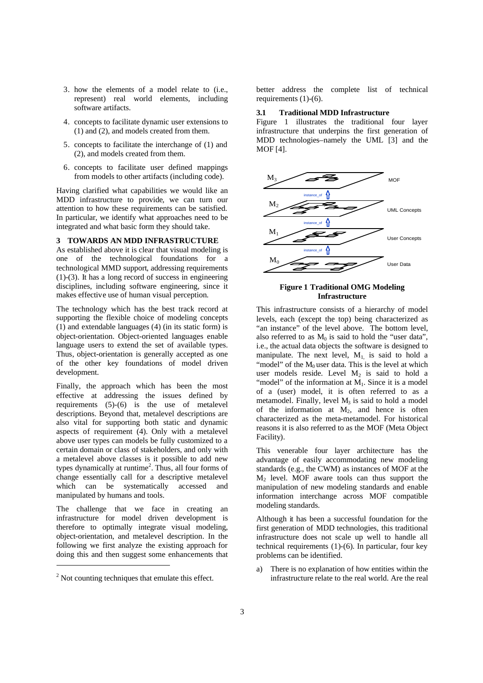- 3. how the elements of a model relate to (i.e., represent) real world elements, including software artifacts.
- 4. concepts to facilitate dynamic user extensions to (1) and (2), and models created from them.
- 5. concepts to facilitate the interchange of (1) and (2), and models created from them.
- 6. concepts to facilitate user defined mappings from models to other artifacts (including code).

Having clarified what capabilities we would like an MDD infrastructure to provide, we can turn our attention to how these requirements can be satisfied. In particular, we identify what approaches need to be integrated and what basic form they should take.

### **3 TOWARDS AN MDD INFRASTRUCTURE**

As established above it is clear that visual modeling is one of the technological foundations for a technological MMD support, addressing requirements (1)-(3). It has a long record of success in engineering disciplines, including software engineering, since it makes effective use of human visual perception.

The technology which has the best track record at supporting the flexible choice of modeling concepts (1) and extendable languages (4) (in its static form) is object-orientation. Object-oriented languages enable language users to extend the set of available types. Thus, object-orientation is generally accepted as one of the other key foundations of model driven development.

Finally, the approach which has been the most effective at addressing the issues defined by requirements  $(5)-(6)$  is the use of metalevel descriptions. Beyond that, metalevel descriptions are also vital for supporting both static and dynamic aspects of requirement (4). Only with a metalevel above user types can models be fully customized to a certain domain or class of stakeholders, and only with a metalevel above classes is it possible to add new types dynamically at runtime<sup>2</sup>. Thus, all four forms of change essentially call for a descriptive metalevel which can be systematically accessed and manipulated by humans and tools.

The challenge that we face in creating an infrastructure for model driven development is therefore to optimally integrate visual modeling, object-orientation, and metalevel description. In the following we first analyze the existing approach for doing this and then suggest some enhancements that

 $\overline{a}$ 

better address the complete list of technical requirements (1)-(6).

## **3.1 Traditional MDD Infrastructure**

Figure 1 illustrates the traditional four layer infrastructure that underpins the first generation of MDD technologies–namely the UML [3] and the MOF [4].



#### **Figure 1 Traditional OMG Modeling Infrastructure**

This infrastructure consists of a hierarchy of model levels, each (except the top) being characterized as "an instance" of the level above. The bottom level, also referred to as  $M_0$  is said to hold the "user data". i.e., the actual data objects the software is designed to manipulate. The next level,  $M_1$  is said to hold a "model" of the  $M_0$  user data. This is the level at which user models reside. Level  $M_2$  is said to hold a "model" of the information at M<sub>1</sub>. Since it is a model of a (user) model, it is often referred to as a metamodel. Finally, level  $M_3$  is said to hold a model of the information at  $M_2$ , and hence is often characterized as the meta-metamodel. For historical reasons it is also referred to as the MOF (Meta Object Facility).

This venerable four layer architecture has the advantage of easily accommodating new modeling standards (e.g., the CWM) as instances of MOF at the M2 level. MOF aware tools can thus support the manipulation of new modeling standards and enable information interchange across MOF compatible modeling standards.

Although it has been a successful foundation for the first generation of MDD technologies, this traditional infrastructure does not scale up well to handle all technical requirements  $(1)-(6)$ . In particular, four key problems can be identified.

a) There is no explanation of how entities within the infrastructure relate to the real world. Are the real

 $2$  Not counting techniques that emulate this effect.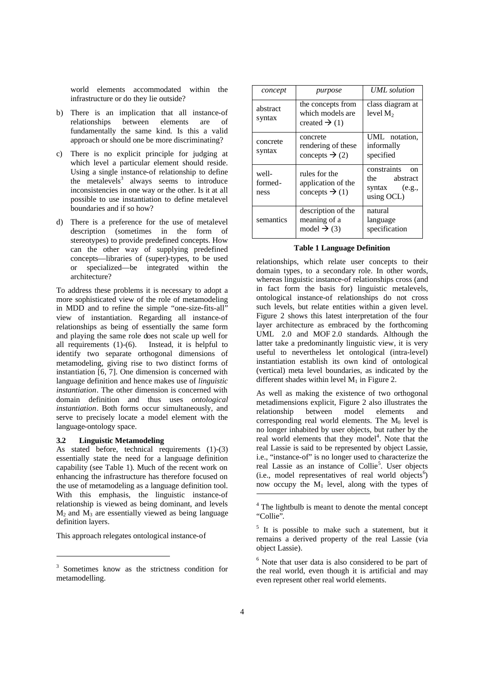world elements accommodated within the infrastructure or do they lie outside?

- b) There is an implication that all instance-of relationships between elements are of fundamentally the same kind. Is this a valid approach or should one be more discriminating?
- c) There is no explicit principle for judging at which level a particular element should reside. Using a single instance-of relationship to define the metalevels<sup>3</sup> always seems to introduce inconsistencies in one way or the other. Is it at all possible to use instantiation to define metalevel boundaries and if so how?
- d) There is a preference for the use of metalevel description (sometimes in the form of stereotypes) to provide predefined concepts. How can the other way of supplying predefined concepts—libraries of (super)-types, to be used or specialized—be integrated within the architecture?

To address these problems it is necessary to adopt a more sophisticated view of the role of metamodeling in MDD and to refine the simple "one-size-fits-all" view of instantiation. Regarding all instance-of relationships as being of essentially the same form and playing the same role does not scale up well for all requirements  $(1)-(6)$ . Instead, it is helpful to identify two separate orthogonal dimensions of metamodeling, giving rise to two distinct forms of instantiation [6, 7]. One dimension is concerned with language definition and hence makes use of *linguistic instantiation*. The other dimension is concerned with domain definition and thus uses *ontological instantiation*. Both forms occur simultaneously, and serve to precisely locate a model element with the language-ontology space.

## **3.2 Linguistic Metamodeling**

-

As stated before, technical requirements (1)-(3) essentially state the need for a language definition capability (see Table 1). Much of the recent work on enhancing the infrastructure has therefore focused on the use of metamodeling as a language definition tool. With this emphasis, the linguistic instance-of relationship is viewed as being dominant, and levels  $M_2$  and  $M_3$  are essentially viewed as being language definition layers.

This approach relegates ontological instance-of

| concept                  | purpose                                                            | UML solution                                                          |
|--------------------------|--------------------------------------------------------------------|-----------------------------------------------------------------------|
| abstract<br>syntax       | the concepts from<br>which models are<br>created $\rightarrow$ (1) | class diagram at<br>level $M_2$                                       |
| concrete<br>syntax       | concrete<br>rendering of these<br>concepts $\rightarrow$ (2)       | UML notation,<br>informally<br>specified                              |
| well-<br>formed-<br>ness | rules for the<br>application of the<br>concepts $\rightarrow$ (1)  | constraints<br>Ωn<br>abstract<br>the<br>syntax $(e.g.,$<br>using OCL) |
| semantics                | description of the<br>meaning of a<br>model $\rightarrow$ (3)      | natural<br>language<br>specification                                  |

#### **Table 1 Language Definition**

relationships, which relate user concepts to their domain types, to a secondary role. In other words, whereas linguistic instance-of relationships cross (and in fact form the basis for) linguistic metalevels, ontological instance-of relationships do not cross such levels, but relate entities within a given level. Figure 2 shows this latest interpretation of the four layer architecture as embraced by the forthcoming UML 2.0 and MOF 2.0 standards. Although the latter take a predominantly linguistic view, it is very useful to nevertheless let ontological (intra-level) instantiation establish its own kind of ontological (vertical) meta level boundaries, as indicated by the different shades within level  $M_1$  in Figure 2.

As well as making the existence of two orthogonal metadimensions explicit, Figure 2 also illustrates the relationship between model elements and corresponding real world elements. The  $M_0$  level is no longer inhabited by user objects, but rather by the real world elements that they model<sup>4</sup>. Note that the real Lassie is said to be represented by object Lassie, i.e., "instance-of" is no longer used to characterize the real Lassie as an instance of Collie<sup>5</sup>. User objects  $(i.e., model representatives of real world objects<sup>6</sup>)$ now occupy the  $M_1$  level, along with the types of  $\overline{a}$ 

<sup>3</sup> Sometimes know as the strictness condition for metamodelling.

<sup>&</sup>lt;sup>4</sup> The lightbulb is meant to denote the mental concept "Collie".

<sup>&</sup>lt;sup>5</sup> It is possible to make such a statement, but it remains a derived property of the real Lassie (via object Lassie).

<sup>&</sup>lt;sup>6</sup> Note that user data is also considered to be part of the real world, even though it is artificial and may even represent other real world elements.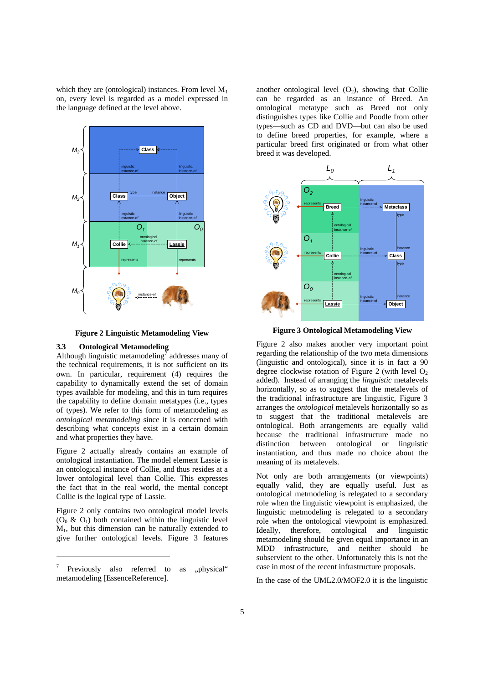which they are (ontological) instances. From level  $M_1$ on, every level is regarded as a model expressed in the language defined at the level above.



**Figure 2 Linguistic Metamodeling View**

#### **3.3 Ontological Metamodeling**

Although linguistic metamodeling  $\bar{q}$  addresses many of the technical requirements, it is not sufficient on its own. In particular, requirement (4) requires the capability to dynamically extend the set of domain types available for modeling, and this in turn requires the capability to define domain metatypes (i.e., types of types). We refer to this form of metamodeling as *ontological metamodeling* since it is concerned with describing what concepts exist in a certain domain and what properties they have.

Figure 2 actually already contains an example of ontological instantiation. The model element Lassie is an ontological instance of Collie, and thus resides at a lower ontological level than Collie. This expresses the fact that in the real world, the mental concept Collie is the logical type of Lassie.

Figure 2 only contains two ontological model levels  $(O_0 \& O_1)$  both contained within the linguistic level M1, but this dimension can be naturally extended to give further ontological levels. Figure 3 features

-

another ontological level  $(O_2)$ , showing that Collie can be regarded as an instance of Breed. An ontological metatype such as Breed not only distinguishes types like Collie and Poodle from other types—such as CD and DVD—but can also be used to define breed properties, for example, where a particular breed first originated or from what other breed it was developed.



**Figure 3 Ontological Metamodeling View**

Figure 2 also makes another very important point regarding the relationship of the two meta dimensions (linguistic and ontological), since it is in fact a 90 degree clockwise rotation of Figure 2 (with level  $O<sub>2</sub>$ ) added). Instead of arranging the *linguistic* metalevels horizontally, so as to suggest that the metalevels of the traditional infrastructure are linguistic, Figure 3 arranges the *ontological* metalevels horizontally so as to suggest that the traditional metalevels are ontological. Both arrangements are equally valid because the traditional infrastructure made no distinction between ontological or linguistic instantiation, and thus made no choice about the meaning of its metalevels.

Not only are both arrangements (or viewpoints) equally valid, they are equally useful. Just as ontological metmodeling is relegated to a secondary role when the linguistic viewpoint is emphasized, the linguistic metmodeling is relegated to a secondary role when the ontological viewpoint is emphasized. Ideally, therefore, ontological and linguistic metamodeling should be given equal importance in an MDD infrastructure, and neither should be subservient to the other. Unfortunately this is not the case in most of the recent infrastructure proposals.

In the case of the UML2.0/MOF2.0 it is the linguistic

<sup>7</sup> Previously also referred to as "physical" metamodeling [EssenceReference].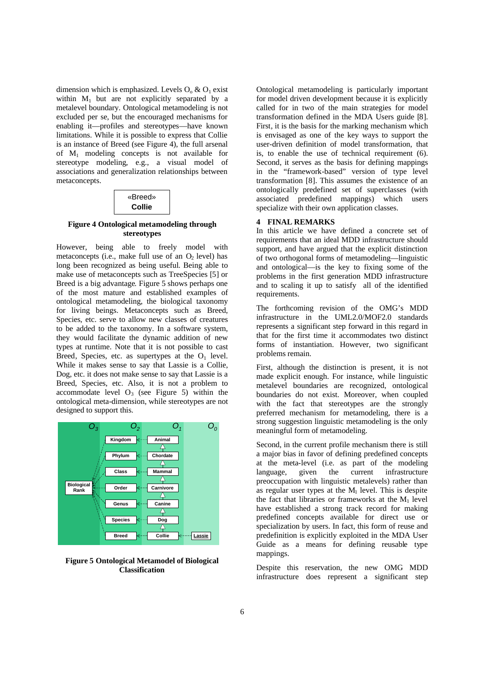dimension which is emphasized. Levels  $O_0 \& O_1$  exist within  $M_1$  but are not explicitly separated by a metalevel boundary. Ontological metamodeling is not excluded per se, but the encouraged mechanisms for enabling it—profiles and stereotypes—have known limitations. While it is possible to express that Collie is an instance of Breed (see Figure 4), the full arsenal of M1 modeling concepts is not available for stereotype modeling, e.g., a visual model of associations and generalization relationships between metaconcepts.

| «Breed» |  |
|---------|--|
| Collie  |  |

## **Figure 4 Ontological metamodeling through stereotypes**

However, being able to freely model with metaconcepts (i.e., make full use of an  $O<sub>2</sub>$  level) has long been recognized as being useful. Being able to make use of metaconcepts such as TreeSpecies [5] or Breed is a big advantage. Figure 5 shows perhaps one of the most mature and established examples of ontological metamodeling, the biological taxonomy for living beings. Metaconcepts such as Breed, Species, etc. serve to allow new classes of creatures to be added to the taxonomy. In a software system, they would facilitate the dynamic addition of new types at runtime. Note that it is not possible to cast Breed, Species, etc. as supertypes at the  $O_1$  level. While it makes sense to say that Lassie is a Collie, Dog, etc. it does not make sense to say that Lassie is a Breed, Species, etc. Also, it is not a problem to accommodate level  $O_3$  (see Figure 5) within the ontological meta-dimension, while stereotypes are not designed to support this.



**Figure 5 Ontological Metamodel of Biological Classification**

Ontological metamodeling is particularly important for model driven development because it is explicitly called for in two of the main strategies for model transformation defined in the MDA Users guide [8]. First, it is the basis for the marking mechanism which is envisaged as one of the key ways to support the user-driven definition of model transformation, that is, to enable the use of technical requirement (6). Second, it serves as the basis for defining mappings in the "framework-based" version of type level transformation [8]. This assumes the existence of an ontologically predefined set of superclasses (with associated predefined mappings) which users specialize with their own application classes.

# **4 FINAL REMARKS**

In this article we have defined a concrete set of requirements that an ideal MDD infrastructure should support, and have argued that the explicit distinction of two orthogonal forms of metamodeling—linguistic and ontological—is the key to fixing some of the problems in the first generation MDD infrastructure and to scaling it up to satisfy all of the identified requirements.

The forthcoming revision of the OMG's MDD infrastructure in the UML2.0/MOF2.0 standards represents a significant step forward in this regard in that for the first time it accommodates two distinct forms of instantiation. However, two significant problems remain.

First, although the distinction is present, it is not made explicit enough. For instance, while linguistic metalevel boundaries are recognized, ontological boundaries do not exist. Moreover, when coupled with the fact that stereotypes are the strongly preferred mechanism for metamodeling, there is a strong suggestion linguistic metamodeling is the only meaningful form of metamodeling.

Second, in the current profile mechanism there is still a major bias in favor of defining predefined concepts at the meta-level (i.e. as part of the modeling language, given the current infrastructure preoccupation with linguistic metalevels) rather than as regular user types at the  $M_1$  level. This is despite the fact that libraries or frameworks at the  $M_1$  level have established a strong track record for making predefined concepts available for direct use or specialization by users. In fact, this form of reuse and predefinition is explicitly exploited in the MDA User Guide as a means for defining reusable type mappings.

Despite this reservation, the new OMG MDD infrastructure does represent a significant step